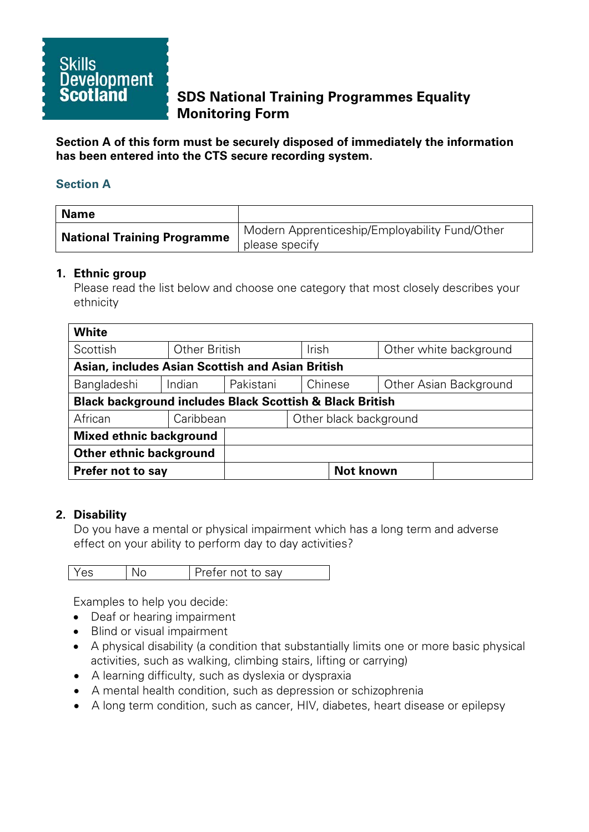

# **SDS National Training Programmes Equality Monitoring Form**

**Section A of this form must be securely disposed of immediately the information has been entered into the CTS secure recording system.**

## **Section A**

| <b>Name</b>                        |                                                                  |
|------------------------------------|------------------------------------------------------------------|
| <b>National Training Programme</b> | Modern Apprenticeship/Employability Fund/Other<br>please specify |

## **1. Ethnic group**

Please read the list below and choose one category that most closely describes your ethnicity

| <b>White</b>                                                        |               |           |              |                  |                        |
|---------------------------------------------------------------------|---------------|-----------|--------------|------------------|------------------------|
| Scottish                                                            | Other British |           | <b>Irish</b> |                  | Other white background |
| Asian, includes Asian Scottish and Asian British                    |               |           |              |                  |                        |
| Bangladeshi                                                         | Indian        | Pakistani |              | Chinese          | Other Asian Background |
| <b>Black background includes Black Scottish &amp; Black British</b> |               |           |              |                  |                        |
| African                                                             | Caribbean     |           |              |                  | Other black background |
| <b>Mixed ethnic background</b>                                      |               |           |              |                  |                        |
| <b>Other ethnic background</b>                                      |               |           |              |                  |                        |
| <b>Prefer not to say</b>                                            |               |           |              | <b>Not known</b> |                        |

## **2. Disability**

Do you have a mental or physical impairment which has a long term and adverse effect on your ability to perform day to day activities?

| Y AS | Prefer not to say |
|------|-------------------|
|      |                   |

Examples to help you decide:

- Deaf or hearing impairment
- Blind or visual impairment
- A physical disability (a condition that substantially limits one or more basic physical activities, such as walking, climbing stairs, lifting or carrying)
- A learning difficulty, such as dyslexia or dyspraxia
- A mental health condition, such as depression or schizophrenia
- A long term condition, such as cancer, HIV, diabetes, heart disease or epilepsy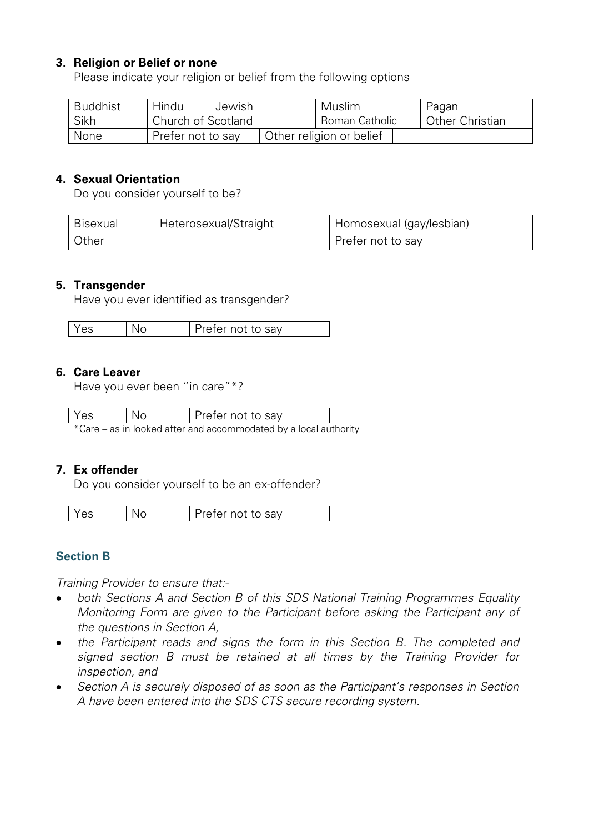# **3. Religion or Belief or none**

Please indicate your religion or belief from the following options

| <b>Buddhist</b> | Hindu              | Jewish | Muslim                   | Pagan                  |
|-----------------|--------------------|--------|--------------------------|------------------------|
| Sikh            | Church of Scotland |        | Roman Catholic           | <b>Other Christian</b> |
| None            | Prefer not to say  |        | Other religion or belief |                        |

#### **4. Sexual Orientation**

Do you consider yourself to be?

| Bisexual | Heterosexual/Straight | Homosexual (gay/lesbian) |
|----------|-----------------------|--------------------------|
| Other    |                       | Prefer not to say        |

## **5. Transgender**

Have you ever identified as transgender?

|  | es. |  | refer not to sav |
|--|-----|--|------------------|
|--|-----|--|------------------|

#### **6. Care Leaver**

Have you ever been "in care"\*?

| Yes | l No | Prefer not to say                                                |  |
|-----|------|------------------------------------------------------------------|--|
|     |      | *Care – as in looked after and accommodated by a local authority |  |

## **7. Ex offender**

Do you consider yourself to be an ex-offender?

| Yes<br>Prefer not to say |
|--------------------------|
|--------------------------|

# **Section B**

*Training Provider to ensure that:-*

- *both Sections A and Section B of this SDS National Training Programmes Equality Monitoring Form are given to the Participant before asking the Participant any of the questions in Section A,*
- *the Participant reads and signs the form in this Section B. The completed and signed section B must be retained at all times by the Training Provider for inspection, and*
- *Section A is securely disposed of as soon as the Participant's responses in Section A have been entered into the SDS CTS secure recording system.*